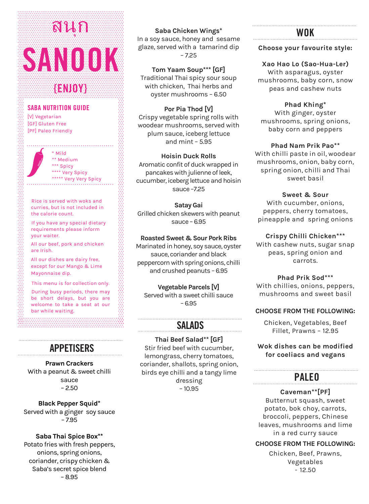# **SANOOK** สนุก

**{ENJOY}**

## **SABA NUTRITION GUIDE**

[V] Vegetarian [GF] Gluten Free [PF] Paleo Friendly

> \* Mild \*\* Medium \*\*\* Spicy \*\*\*\* Very Spicy \*\*\*\*\* Very Very Spicy

Rice is served with woks and curries, but is not included in the calorie count.

If you have any special dietary requirements please inform your waiter.

All our beef, pork and chicken are Irish.

All our dishes are dairy free, except for our Mango & Lime Mayonnaise dip.

This menu is for collection only.

During busy periods, there may be short delays, but you are welcome to take a seat at our bar while waiting.

## **APPETISERS**

**Prawn Crackers**  With a peanut & sweet chilli sauce  $-2.50$ 

**Black Pepper Squid\***  Served with a ginger soy sauce – 7.95

**Saba Thai Spice Box\*\***  Potato fries with fresh peppers,

onions, spring onions, coriander, crispy chicken & Saba's secret spice blend – 8.95

#### **Saba Chicken Wings\***

In a soy sauce, honey and sesame glaze, served with a tamarind dip – 7.25

**Tom Yaam Soup\*\*\* [GF]** 

Traditional Thai spicy sour soup with chicken, Thai herbs and oyster mushrooms – 6.50

**Por Pia Thod [V]** 

Crispy vegetable spring rolls with woodear mushrooms, served with plum sauce, iceberg lettuce and mint – 5.95

#### **Hoisin Duck Rolls**

Aromatic confit of duck wrappedin pancakes with julienne of leek, cucumber, iceberg lettuce and hoisin sauce –7.25

**Satay Gai** Grilled chicken skewers with peanut sauce – 6.95

## **Roasted Sweet & Sour Pork Ribs**

Marinated in honey, soy sauce, oyster sauce, coriander and black peppercorn with spring onions, chilli and crushed peanuts – 6.95

**Vegetable Parcels [V]**

Served with a sweet chilli sauce – 6.95

# **SALADS**

**Thai Beef Salad\*\* [GF]** Stir fried beef with cucumber, lemongrass, cherry tomatoes, coriander, shallots, spring onion, birds eye chilli and a tangy lime dressing – 10.95

## **WOK**

## **Choose your favourite style:**

**Xao Hao Lo (Sao-Hua-Ler)**  With asparagus, oyster mushrooms, baby corn, snow peas and cashew nuts

**Phad Khing\*** With ginger, oyster mushrooms, spring onions, baby corn and peppers

**Phad Nam Prik Pao\*\***

With chilli paste in oil, woodear mushrooms, onion, baby corn, spring onion, chilli and Thai sweet basil

**Sweet & Sour** With cucumber, onions, peppers, cherry tomatoes, pineapple and spring onions

**Crispy Chilli Chicken\*\*\***

With cashew nuts, sugar snap peas, spring onion and carrots.

**Phad Prik Sod\*\*\*** With chillies, onions, peppers, mushrooms and sweet basil

#### **CHOOSE FROM THE FOLLOWING:**

Chicken, Vegetables, Beef Fillet, Prawns – 12.95

## **Wok dishes can be modified for coeliacs and vegans**

## **PALEO**

**Caveman\*\*[PF]** Butternut squash, sweet potato, bok choy, carrots, broccoli, peppers, Chinese leaves, mushrooms and lime in a red curry sauce

## **CHOOSE FROM THE FOLLOWING:**

Chicken, Beef, Prawns, Vegetables - 12.50